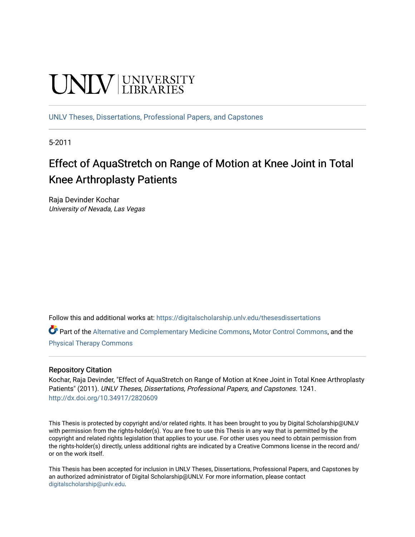# **UNIVERSITY**

[UNLV Theses, Dissertations, Professional Papers, and Capstones](https://digitalscholarship.unlv.edu/thesesdissertations)

5-2011

# Effect of AquaStretch on Range of Motion at Knee Joint in Total Knee Arthroplasty Patients

Raja Devinder Kochar University of Nevada, Las Vegas

Follow this and additional works at: [https://digitalscholarship.unlv.edu/thesesdissertations](https://digitalscholarship.unlv.edu/thesesdissertations?utm_source=digitalscholarship.unlv.edu%2Fthesesdissertations%2F1241&utm_medium=PDF&utm_campaign=PDFCoverPages)

Part of the [Alternative and Complementary Medicine Commons,](http://network.bepress.com/hgg/discipline/649?utm_source=digitalscholarship.unlv.edu%2Fthesesdissertations%2F1241&utm_medium=PDF&utm_campaign=PDFCoverPages) [Motor Control Commons](http://network.bepress.com/hgg/discipline/45?utm_source=digitalscholarship.unlv.edu%2Fthesesdissertations%2F1241&utm_medium=PDF&utm_campaign=PDFCoverPages), and the [Physical Therapy Commons](http://network.bepress.com/hgg/discipline/754?utm_source=digitalscholarship.unlv.edu%2Fthesesdissertations%2F1241&utm_medium=PDF&utm_campaign=PDFCoverPages) 

#### Repository Citation

Kochar, Raja Devinder, "Effect of AquaStretch on Range of Motion at Knee Joint in Total Knee Arthroplasty Patients" (2011). UNLV Theses, Dissertations, Professional Papers, and Capstones. 1241. <http://dx.doi.org/10.34917/2820609>

This Thesis is protected by copyright and/or related rights. It has been brought to you by Digital Scholarship@UNLV with permission from the rights-holder(s). You are free to use this Thesis in any way that is permitted by the copyright and related rights legislation that applies to your use. For other uses you need to obtain permission from the rights-holder(s) directly, unless additional rights are indicated by a Creative Commons license in the record and/ or on the work itself.

This Thesis has been accepted for inclusion in UNLV Theses, Dissertations, Professional Papers, and Capstones by an authorized administrator of Digital Scholarship@UNLV. For more information, please contact [digitalscholarship@unlv.edu](mailto:digitalscholarship@unlv.edu).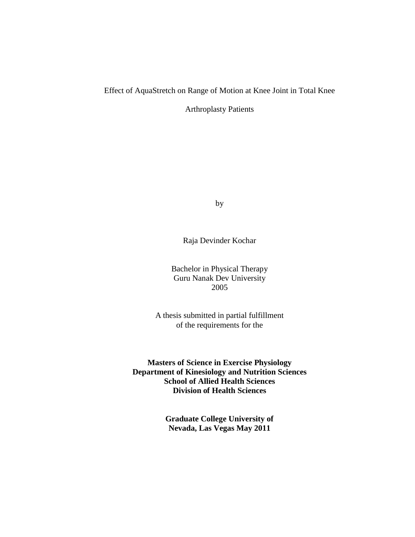## Effect of AquaStretch on Range of Motion at Knee Joint in Total Knee

Arthroplasty Patients

by

Raja Devinder Kochar

Bachelor in Physical Therapy Guru Nanak Dev University 2005

A thesis submitted in partial fulfillment of the requirements for the

**Masters of Science in Exercise Physiology Department of Kinesiology and Nutrition Sciences School of Allied Health Sciences Division of Health Sciences**

> **Graduate College University of Nevada, Las Vegas May 2011**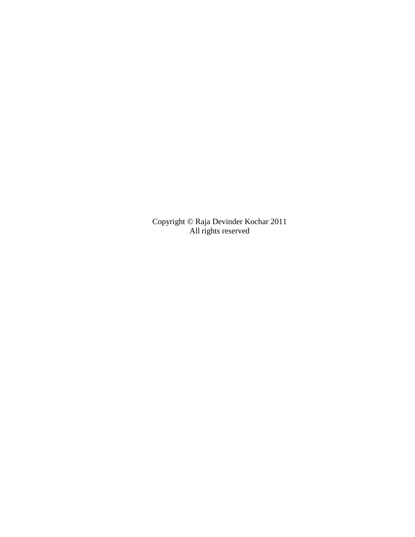Copyright © Raja Devinder Kochar 2011 All rights reserved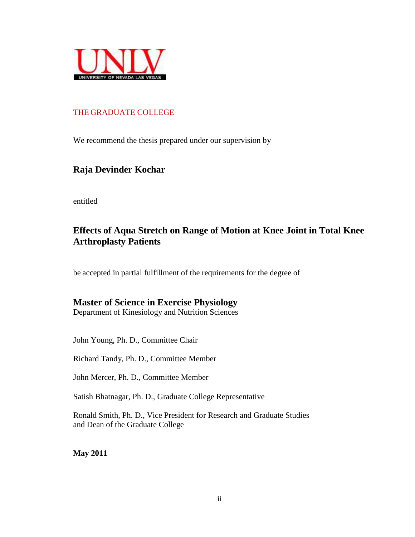

### THE GRADUATE COLLEGE

We recommend the thesis prepared under our supervision by

## **Raja Devinder Kochar**

entitled

## **Effects of Aqua Stretch on Range of Motion at Knee Joint in Total Knee Arthroplasty Patients**

be accepted in partial fulfillment of the requirements for the degree of

## **Master of Science in Exercise Physiology**

Department of Kinesiology and Nutrition Sciences

John Young, Ph. D., Committee Chair

Richard Tandy, Ph. D., Committee Member

John Mercer, Ph. D., Committee Member

Satish Bhatnagar, Ph. D., Graduate College Representative

Ronald Smith, Ph. D., Vice President for Research and Graduate Studies and Dean of the Graduate College

**May 2011**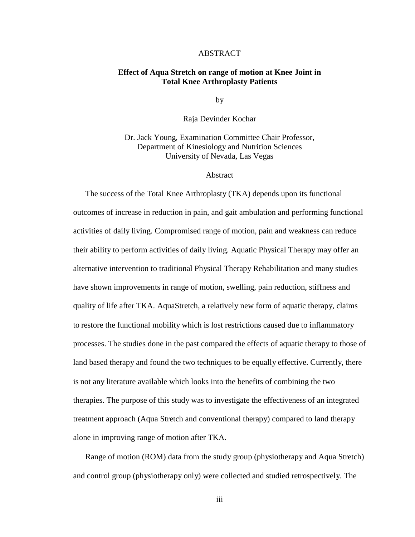#### ABSTRACT

#### **Effect of Aqua Stretch on range of motion at Knee Joint in Total Knee Arthroplasty Patients**

by

Raja Devinder Kochar

Dr. Jack Young, Examination Committee Chair Professor, Department of Kinesiology and Nutrition Sciences University of Nevada, Las Vegas

#### Abstract

The success of the Total Knee Arthroplasty (TKA) depends upon its functional outcomes of increase in reduction in pain, and gait ambulation and performing functional activities of daily living. Compromised range of motion, pain and weakness can reduce their ability to perform activities of daily living. Aquatic Physical Therapy may offer an alternative intervention to traditional Physical Therapy Rehabilitation and many studies have shown improvements in range of motion, swelling, pain reduction, stiffness and quality of life after TKA. AquaStretch, a relatively new form of aquatic therapy, claims to restore the functional mobility which is lost restrictions caused due to inflammatory processes. The studies done in the past compared the effects of aquatic therapy to those of land based therapy and found the two techniques to be equally effective. Currently, there is not any literature available which looks into the benefits of combining the two therapies. The purpose of this study was to investigate the effectiveness of an integrated treatment approach (Aqua Stretch and conventional therapy) compared to land therapy alone in improving range of motion after TKA.

Range of motion (ROM) data from the study group (physiotherapy and Aqua Stretch) and control group (physiotherapy only) were collected and studied retrospectively. The

iii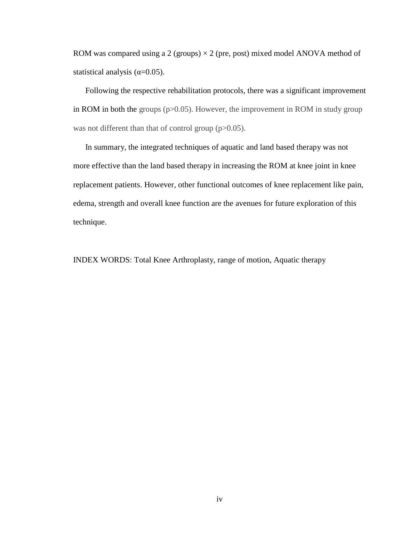ROM was compared using a 2 (groups)  $\times$  2 (pre, post) mixed model ANOVA method of statistical analysis ( $\alpha$ =0.05).

Following the respective rehabilitation protocols, there was a significant improvement in ROM in both the groups  $(p>0.05)$ . However, the improvement in ROM in study group was not different than that of control group (p>0.05).

In summary, the integrated techniques of aquatic and land based therapy was not more effective than the land based therapy in increasing the ROM at knee joint in knee replacement patients. However, other functional outcomes of knee replacement like pain, edema, strength and overall knee function are the avenues for future exploration of this technique.

INDEX WORDS: Total Knee Arthroplasty, range of motion, Aquatic therapy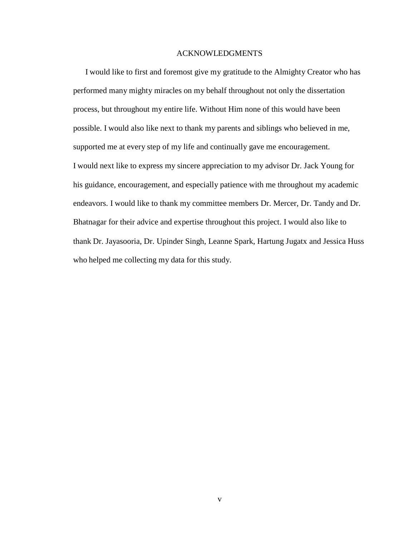#### ACKNOWLEDGMENTS

I would like to first and foremost give my gratitude to the Almighty Creator who has performed many mighty miracles on my behalf throughout not only the dissertation process, but throughout my entire life. Without Him none of this would have been possible. I would also like next to thank my parents and siblings who believed in me, supported me at every step of my life and continually gave me encouragement. I would next like to express my sincere appreciation to my advisor Dr. Jack Young for his guidance, encouragement, and especially patience with me throughout my academic endeavors. I would like to thank my committee members Dr. Mercer, Dr. Tandy and Dr. Bhatnagar for their advice and expertise throughout this project. I would also like to thank Dr. Jayasooria, Dr. Upinder Singh, Leanne Spark, Hartung Jugatx and Jessica Huss who helped me collecting my data for this study.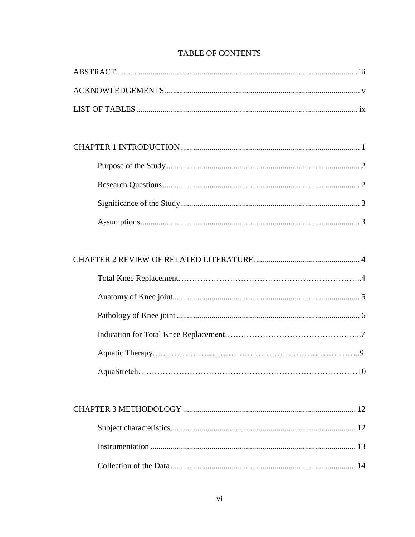## **TABLE OF CONTENTS**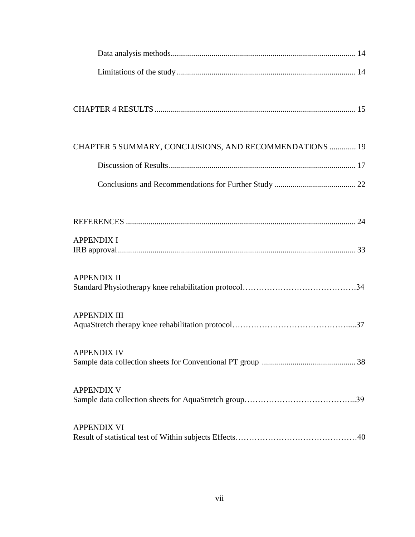| CHAPTER 5 SUMMARY, CONCLUSIONS, AND RECOMMENDATIONS  19 |
|---------------------------------------------------------|
|                                                         |
|                                                         |
|                                                         |
| <b>APPENDIX I</b>                                       |
| <b>APPENDIX II</b>                                      |
| <b>APPENDIX III</b>                                     |
| <b>APPENDIX IV</b>                                      |
| <b>APPENDIX V</b>                                       |
| <b>APPENDIX VI</b>                                      |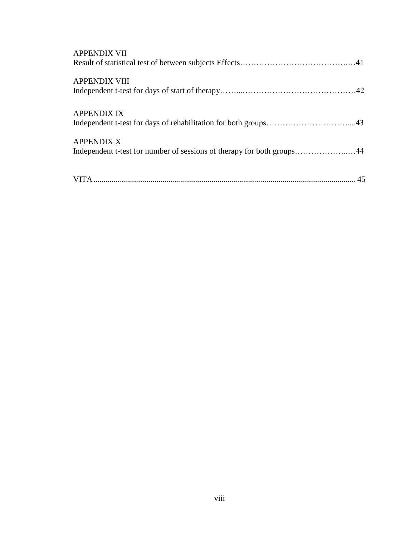| <b>APPENDIX VII</b>                                                                         |  |
|---------------------------------------------------------------------------------------------|--|
| <b>APPENDIX VIII</b>                                                                        |  |
| <b>APPENDIX IX</b>                                                                          |  |
| <b>APPENDIX X</b><br>Independent t-test for number of sessions of therapy for both groups44 |  |
|                                                                                             |  |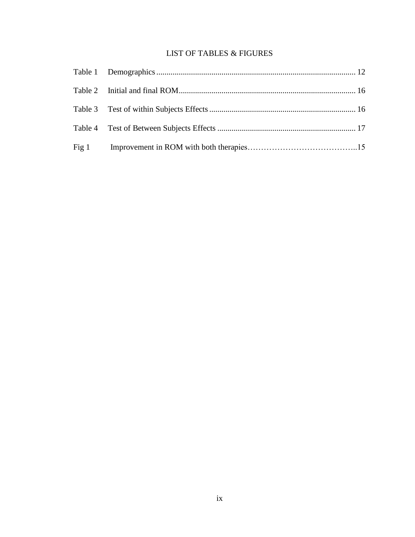## LIST OF TABLES & FIGURES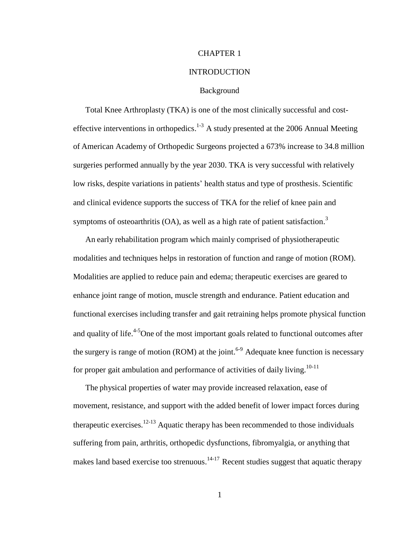#### CHAPTER 1

#### INTRODUCTION

#### Background

Total Knee Arthroplasty (TKA) is one of the most clinically successful and costeffective interventions in orthopedics.<sup>1-3</sup> A study presented at the 2006 Annual Meeting of American Academy of Orthopedic Surgeons projected a 673% increase to 34.8 million surgeries performed annually by the year 2030. TKA is very successful with relatively low risks, despite variations in patients' health status and type of prosthesis. Scientific and clinical evidence supports the success of TKA for the relief of knee pain and symptoms of osteoarthritis (OA), as well as a high rate of patient satisfaction.<sup>3</sup>

An early rehabilitation program which mainly comprised of physiotherapeutic modalities and techniques helps in restoration of function and range of motion (ROM). Modalities are applied to reduce pain and edema; therapeutic exercises are geared to enhance joint range of motion, muscle strength and endurance. Patient education and functional exercises including transfer and gait retraining helps promote physical function and quality of life.<sup>4-5</sup>One of the most important goals related to functional outcomes after the surgery is range of motion (ROM) at the joint.<sup>6-9</sup> Adequate knee function is necessary for proper gait ambulation and performance of activities of daily living.<sup>10-11</sup>

The physical properties of water may provide increased relaxation, ease of movement, resistance, and support with the added benefit of lower impact forces during therapeutic exercises.<sup>12-13</sup> Aquatic therapy has been recommended to those individuals suffering from pain, arthritis, orthopedic dysfunctions, fibromyalgia, or anything that makes land based exercise too strenuous.<sup>14-17</sup> Recent studies suggest that aquatic therapy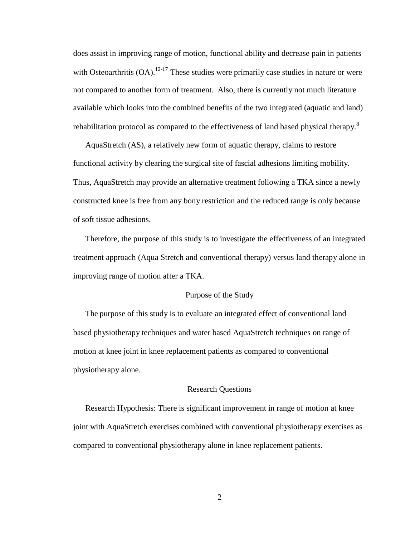does assist in improving range of motion, functional ability and decrease pain in patients with Osteoarthritis  $(OA)$ .<sup>12-17</sup> These studies were primarily case studies in nature or were not compared to another form of treatment. Also, there is currently not much literature available which looks into the combined benefits of the two integrated (aquatic and land) rehabilitation protocol as compared to the effectiveness of land based physical therapy.<sup>8</sup>

AquaStretch (AS), a relatively new form of aquatic therapy, claims to restore functional activity by clearing the surgical site of fascial adhesions limiting mobility. Thus, AquaStretch may provide an alternative treatment following a TKA since a newly constructed knee is free from any bony restriction and the reduced range is only because of soft tissue adhesions.

Therefore, the purpose of this study is to investigate the effectiveness of an integrated treatment approach (Aqua Stretch and conventional therapy) versus land therapy alone in improving range of motion after a TKA.

#### Purpose of the Study

The purpose of this study is to evaluate an integrated effect of conventional land based physiotherapy techniques and water based AquaStretch techniques on range of motion at knee joint in knee replacement patients as compared to conventional physiotherapy alone.

#### Research Questions

Research Hypothesis: There is significant improvement in range of motion at knee joint with AquaStretch exercises combined with conventional physiotherapy exercises as compared to conventional physiotherapy alone in knee replacement patients.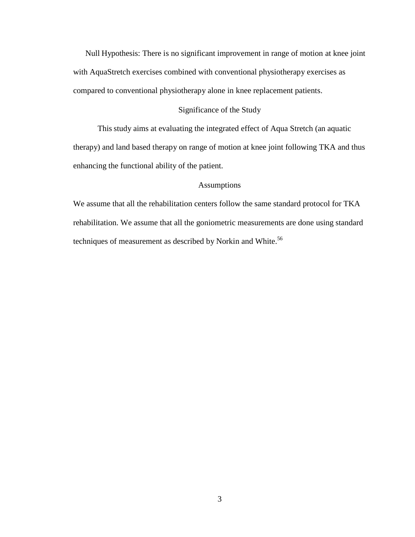Null Hypothesis: There is no significant improvement in range of motion at knee joint with AquaStretch exercises combined with conventional physiotherapy exercises as compared to conventional physiotherapy alone in knee replacement patients.

#### Significance of the Study

This study aims at evaluating the integrated effect of Aqua Stretch (an aquatic therapy) and land based therapy on range of motion at knee joint following TKA and thus enhancing the functional ability of the patient.

#### Assumptions

We assume that all the rehabilitation centers follow the same standard protocol for TKA rehabilitation. We assume that all the goniometric measurements are done using standard techniques of measurement as described by Norkin and White.<sup>56</sup>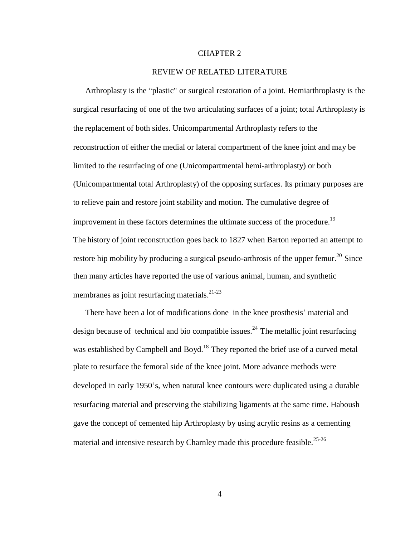#### CHAPTER 2

#### REVIEW OF RELATED LITERATURE

Arthroplasty is the "plastic" or surgical restoration of a joint. Hemiarthroplasty is the surgical resurfacing of one of the two articulating surfaces of a joint; total Arthroplasty is the replacement of both sides. Unicompartmental Arthroplasty refers to the reconstruction of either the medial or lateral compartment of the knee joint and may be limited to the resurfacing of one (Unicompartmental hemi-arthroplasty) or both (Unicompartmental total Arthroplasty) of the opposing surfaces. Its primary purposes are to relieve pain and restore joint stability and motion. The cumulative degree of improvement in these factors determines the ultimate success of the procedure.<sup>19</sup> The history of joint reconstruction goes back to 1827 when Barton reported an attempt to restore hip mobility by producing a surgical pseudo-arthrosis of the upper femur.<sup>20</sup> Since then many articles have reported the use of various animal, human, and synthetic membranes as joint resurfacing materials.<sup>21-23</sup>

There have been a lot of modifications done in the knee prosthesis' material and design because of technical and bio compatible issues.<sup>24</sup> The metallic joint resurfacing was established by Campbell and Boyd.<sup>18</sup> They reported the brief use of a curved metal plate to resurface the femoral side of the knee joint. More advance methods were developed in early 1950's, when natural knee contours were duplicated using a durable resurfacing material and preserving the stabilizing ligaments at the same time. Haboush gave the concept of cemented hip Arthroplasty by using acrylic resins as a cementing material and intensive research by Charnley made this procedure feasible.<sup>25-26</sup>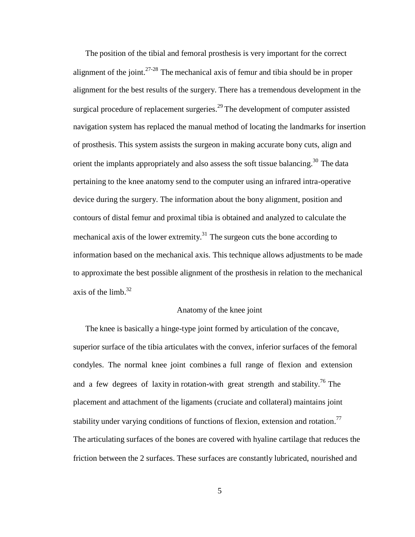The position of the tibial and femoral prosthesis is very important for the correct alignment of the joint. $27-28$  The mechanical axis of femur and tibia should be in proper alignment for the best results of the surgery. There has a tremendous development in the surgical procedure of replacement surgeries.<sup>29</sup> The development of computer assisted navigation system has replaced the manual method of locating the landmarks for insertion of prosthesis. This system assists the surgeon in making accurate bony cuts, align and orient the implants appropriately and also assess the soft tissue balancing.<sup>30</sup> The data pertaining to the knee anatomy send to the computer using an infrared intra-operative device during the surgery. The information about the bony alignment, position and contours of distal femur and proximal tibia is obtained and analyzed to calculate the mechanical axis of the lower extremity.<sup>31</sup> The surgeon cuts the bone according to information based on the mechanical axis. This technique allows adjustments to be made to approximate the best possible alignment of the prosthesis in relation to the mechanical axis of the limb. 32

#### Anatomy of the knee joint

The knee is basically a hinge-type joint formed by articulation of the concave, superior surface of the tibia articulates with the convex, inferior surfaces of the femoral condyles. The normal knee joint combines a full range of flexion and extension and a few degrees of laxity in rotation-with great strength and stability.<sup>76</sup> The placement and attachment of the ligaments (cruciate and collateral) maintains joint stability under varying conditions of functions of flexion, extension and rotation.<sup>77</sup> The articulating surfaces of the bones are covered with hyaline cartilage that reduces the friction between the 2 surfaces. These surfaces are constantly lubricated, nourished and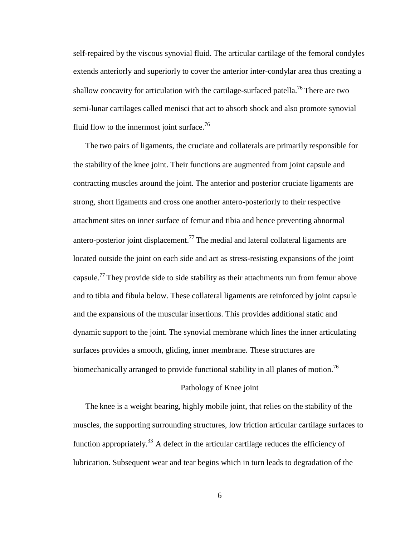self-repaired by the viscous synovial fluid. The articular cartilage of the femoral condyles extends anteriorly and superiorly to cover the anterior inter-condylar area thus creating a shallow concavity for articulation with the cartilage-surfaced patella.<sup>76</sup> There are two semi-lunar cartilages called menisci that act to absorb shock and also promote synovial fluid flow to the innermost joint surface.<sup>76</sup>

The two pairs of ligaments, the cruciate and collaterals are primarily responsible for the stability of the knee joint. Their functions are augmented from joint capsule and contracting muscles around the joint. The anterior and posterior cruciate ligaments are strong, short ligaments and cross one another antero-posteriorly to their respective attachment sites on inner surface of femur and tibia and hence preventing abnormal antero-posterior joint displacement.<sup>77</sup> The medial and lateral collateral ligaments are located outside the joint on each side and act as stress-resisting expansions of the joint capsule.<sup>77</sup> They provide side to side stability as their attachments run from femur above and to tibia and fibula below. These collateral ligaments are reinforced by joint capsule and the expansions of the muscular insertions. This provides additional static and dynamic support to the joint. The synovial membrane which lines the inner articulating surfaces provides a smooth, gliding, inner membrane. These structures are biomechanically arranged to provide functional stability in all planes of motion.<sup>76</sup>

#### Pathology of Knee joint

The knee is a weight bearing, highly mobile joint, that relies on the stability of the muscles, the supporting surrounding structures, low friction articular cartilage surfaces to function appropriately.<sup>33</sup> A defect in the articular cartilage reduces the efficiency of lubrication. Subsequent wear and tear begins which in turn leads to degradation of the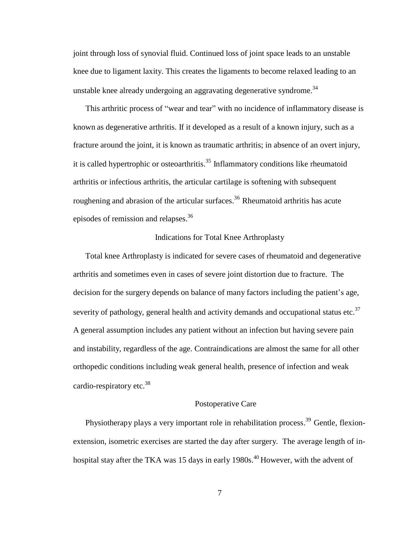joint through loss of synovial fluid. Continued loss of joint space leads to an unstable knee due to ligament laxity. This creates the ligaments to become relaxed leading to an unstable knee already undergoing an aggravating degenerative syndrome.<sup>34</sup>

This arthritic process of "wear and tear" with no incidence of inflammatory disease is known as degenerative arthritis. If it developed as a result of a known injury, such as a fracture around the joint, it is known as traumatic arthritis; in absence of an overt injury, it is called hypertrophic or osteoarthritis. 35 Inflammatory conditions like rheumatoid arthritis or infectious arthritis, the articular cartilage is softening with subsequent roughening and abrasion of the articular surfaces.<sup>36</sup> Rheumatoid arthritis has acute episodes of remission and relapses. 36

#### Indications for Total Knee Arthroplasty

Total knee Arthroplasty is indicated for severe cases of rheumatoid and degenerative arthritis and sometimes even in cases of severe joint distortion due to fracture. The decision for the surgery depends on balance of many factors including the patient's age, severity of pathology, general health and activity demands and occupational status etc.<sup>37</sup> A general assumption includes any patient without an infection but having severe pain and instability, regardless of the age. Contraindications are almost the same for all other orthopedic conditions including weak general health, presence of infection and weak cardio-respiratory etc.<sup>38</sup>

#### Postoperative Care

Physiotherapy plays a very important role in rehabilitation process.<sup>39</sup> Gentle, flexionextension, isometric exercises are started the day after surgery. The average length of inhospital stay after the TKA was 15 days in early  $1980s.^{40}$  However, with the advent of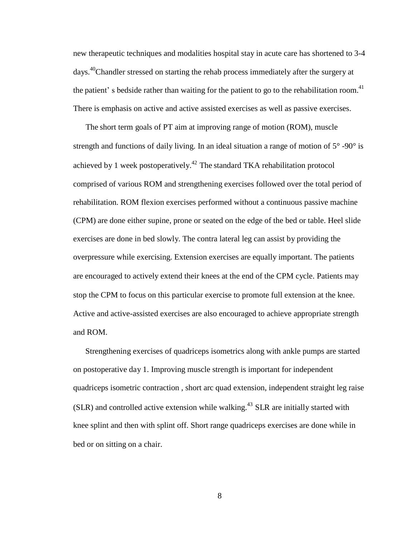new therapeutic techniques and modalities hospital stay in acute care has shortened to 3-4 days.<sup>40</sup>Chandler stressed on starting the rehab process immediately after the surgery at the patient's bedside rather than waiting for the patient to go to the rehabilitation room.<sup>41</sup> There is emphasis on active and active assisted exercises as well as passive exercises.

The short term goals of PT aim at improving range of motion (ROM), muscle strength and functions of daily living. In an ideal situation a range of motion of  $5^{\circ}$  -90° is achieved by 1 week postoperatively.<sup>42</sup> The standard TKA rehabilitation protocol comprised of various ROM and strengthening exercises followed over the total period of rehabilitation. ROM flexion exercises performed without a continuous passive machine (CPM) are done either supine, prone or seated on the edge of the bed or table. Heel slide exercises are done in bed slowly. The contra lateral leg can assist by providing the overpressure while exercising. Extension exercises are equally important. The patients are encouraged to actively extend their knees at the end of the CPM cycle. Patients may stop the CPM to focus on this particular exercise to promote full extension at the knee. Active and active-assisted exercises are also encouraged to achieve appropriate strength and ROM.

Strengthening exercises of quadriceps isometrics along with ankle pumps are started on postoperative day 1. Improving muscle strength is important for independent quadriceps isometric contraction , short arc quad extension, independent straight leg raise  $(SLR)$  and controlled active extension while walking.<sup>43</sup> SLR are initially started with knee splint and then with splint off. Short range quadriceps exercises are done while in bed or on sitting on a chair.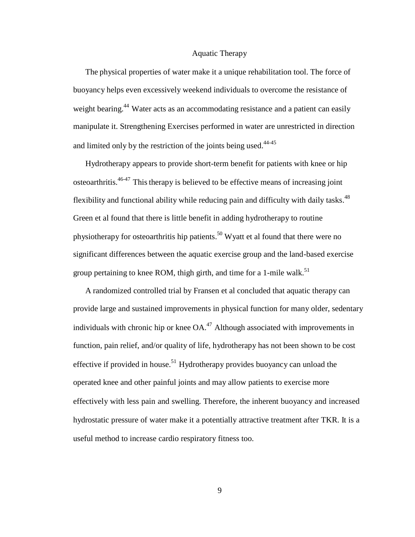#### Aquatic Therapy

The physical properties of water make it a unique rehabilitation tool. The force of buoyancy helps even excessively weekend individuals to overcome the resistance of weight bearing.<sup>44</sup> Water acts as an accommodating resistance and a patient can easily manipulate it. Strengthening Exercises performed in water are unrestricted in direction and limited only by the restriction of the joints being used.<sup>44-45</sup>

Hydrotherapy appears to provide short-term benefit for patients with knee or hip osteoarthritis.<sup>46-47</sup> This therapy is believed to be effective means of increasing joint flexibility and functional ability while reducing pain and difficulty with daily tasks.<sup>48</sup> Green et al found that there is little benefit in adding hydrotherapy to routine physiotherapy for osteoarthritis hip patients.<sup>50</sup> Wyatt et al found that there were no significant differences between the aquatic exercise group and the land-based exercise group pertaining to knee ROM, thigh girth, and time for a 1-mile walk.<sup>51</sup>

A randomized controlled trial by Fransen et al concluded that aquatic therapy can provide large and sustained improvements in physical function for many older, sedentary individuals with chronic hip or knee  $OA<sup>47</sup>$  Although associated with improvements in function, pain relief, and/or quality of life, hydrotherapy has not been shown to be cost effective if provided in house.<sup>51</sup> Hydrotherapy provides buoyancy can unload the operated knee and other painful joints and may allow patients to exercise more effectively with less pain and swelling. Therefore, the inherent buoyancy and increased hydrostatic pressure of water make it a potentially attractive treatment after TKR. It is a useful method to increase cardio respiratory fitness too.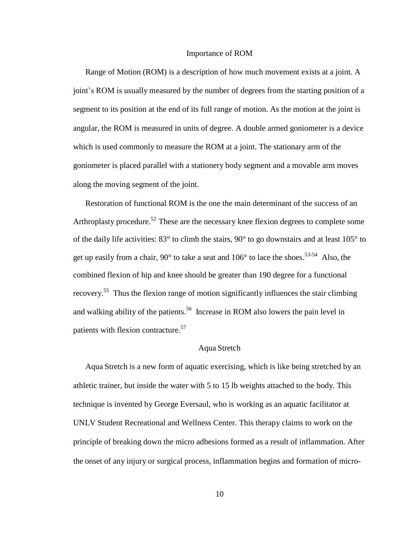#### Importance of ROM

Range of Motion (ROM) is a description of how much movement exists at a joint. A joint's ROM is usually measured by the number of degrees from the starting position of a segment to its position at the end of its full range of motion. As the motion at the joint is angular, the ROM is measured in units of degree. A double armed goniometer is a device which is used commonly to measure the ROM at a joint. The stationary arm of the goniometer is placed parallel with a stationery body segment and a movable arm moves along the moving segment of the joint.

Restoration of functional ROM is the one the main determinant of the success of an Arthroplasty procedure.<sup>52</sup> These are the necessary knee flexion degrees to complete some of the daily life activities: 83° to climb the stairs, 90° to go downstairs and at least 105° to get up easily from a chair,  $90^{\circ}$  to take a seat and  $106^{\circ}$  to lace the shoes.<sup>53-54</sup> Also, the combined flexion of hip and knee should be greater than 190 degree for a functional recovery.<sup>55</sup> Thus the flexion range of motion significantly influences the stair climbing and walking ability of the patients.<sup>56</sup> Increase in ROM also lowers the pain level in patients with flexion contracture.<sup>57</sup>

#### Aqua Stretch

Aqua Stretch is a new form of aquatic exercising, which is like being stretched by an athletic trainer, but inside the water with 5 to 15 lb weights attached to the body. This technique is invented by George Eversaul, who is working as an aquatic facilitator at UNLV Student Recreational and Wellness Center. This therapy claims to work on the principle of breaking down the micro adhesions formed as a result of inflammation. After the onset of any injury or surgical process, inflammation begins and formation of micro-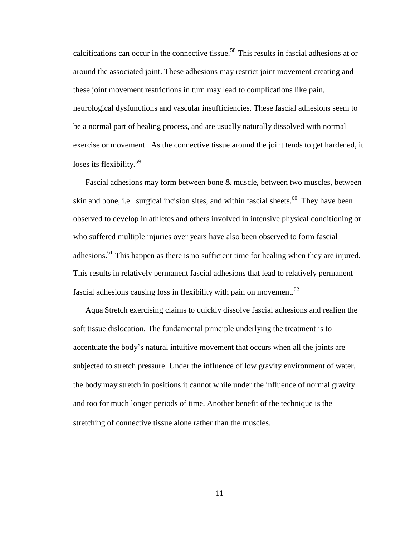calcifications can occur in the connective tissue.<sup>58</sup> This results in fascial adhesions at or around the associated joint. These adhesions may restrict joint movement creating and these joint movement restrictions in turn may lead to complications like pain, neurological dysfunctions and vascular insufficiencies. These fascial adhesions seem to be a normal part of healing process, and are usually naturally dissolved with normal exercise or movement. As the connective tissue around the joint tends to get hardened, it loses its flexibility.<sup>59</sup>

Fascial adhesions may form between bone & muscle, between two muscles, between skin and bone, i.e. surgical incision sites, and within fascial sheets.<sup>60</sup> They have been observed to develop in athletes and others involved in intensive physical conditioning or who suffered multiple injuries over years have also been observed to form fascial adhesions.<sup>61</sup> This happen as there is no sufficient time for healing when they are injured. This results in relatively permanent fascial adhesions that lead to relatively permanent fascial adhesions causing loss in flexibility with pain on movement.<sup>62</sup>

Aqua Stretch exercising claims to quickly dissolve fascial adhesions and realign the soft tissue dislocation. The fundamental principle underlying the treatment is to accentuate the body's natural intuitive movement that occurs when all the joints are subjected to stretch pressure. Under the influence of low gravity environment of water, the body may stretch in positions it cannot while under the influence of normal gravity and too for much longer periods of time. Another benefit of the technique is the stretching of connective tissue alone rather than the muscles.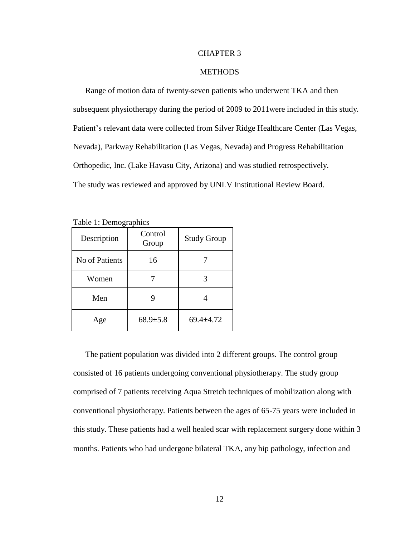#### CHAPTER 3

#### **METHODS**

Range of motion data of twenty-seven patients who underwent TKA and then subsequent physiotherapy during the period of 2009 to 2011were included in this study. Patient's relevant data were collected from Silver Ridge Healthcare Center (Las Vegas, Nevada), Parkway Rehabilitation (Las Vegas, Nevada) and Progress Rehabilitation Orthopedic, Inc. (Lake Havasu City, Arizona) and was studied retrospectively. The study was reviewed and approved by UNLV Institutional Review Board.

| Description    | Control<br>Group | <b>Study Group</b> |  |  |  |
|----------------|------------------|--------------------|--|--|--|
| No of Patients | 16               |                    |  |  |  |
| Women          |                  | 3                  |  |  |  |
| Men            |                  | 4                  |  |  |  |
| Age            | $68.9{\pm}5.8$   | $69.4 \pm 4.72$    |  |  |  |

Table 1: Demographics

The patient population was divided into 2 different groups. The control group consisted of 16 patients undergoing conventional physiotherapy. The study group comprised of 7 patients receiving Aqua Stretch techniques of mobilization along with conventional physiotherapy. Patients between the ages of 65-75 years were included in this study. These patients had a well healed scar with replacement surgery done within 3 months. Patients who had undergone bilateral TKA, any hip pathology, infection and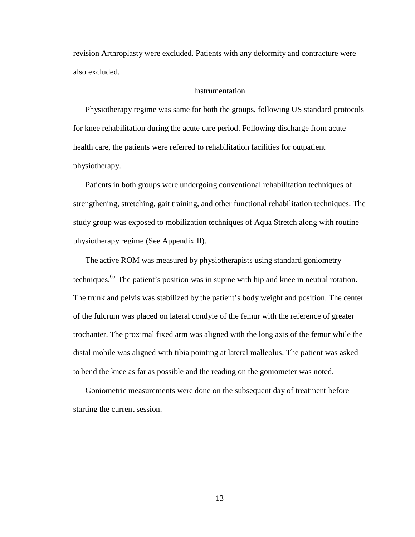revision Arthroplasty were excluded. Patients with any deformity and contracture were also excluded.

#### **Instrumentation**

Physiotherapy regime was same for both the groups, following US standard protocols for knee rehabilitation during the acute care period. Following discharge from acute health care, the patients were referred to rehabilitation facilities for outpatient physiotherapy.

Patients in both groups were undergoing conventional rehabilitation techniques of strengthening, stretching, gait training, and other functional rehabilitation techniques. The study group was exposed to mobilization techniques of Aqua Stretch along with routine physiotherapy regime (See Appendix II).

The active ROM was measured by physiotherapists using standard goniometry techniques.<sup>65</sup> The patient's position was in supine with hip and knee in neutral rotation. The trunk and pelvis was stabilized by the patient's body weight and position. The center of the fulcrum was placed on lateral condyle of the femur with the reference of greater trochanter. The proximal fixed arm was aligned with the long axis of the femur while the distal mobile was aligned with tibia pointing at lateral malleolus. The patient was asked to bend the knee as far as possible and the reading on the goniometer was noted.

Goniometric measurements were done on the subsequent day of treatment before starting the current session.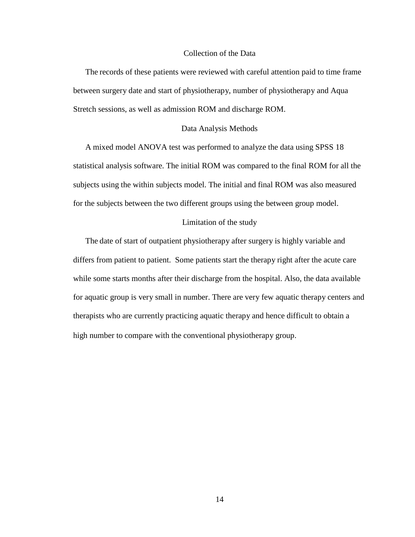#### Collection of the Data

The records of these patients were reviewed with careful attention paid to time frame between surgery date and start of physiotherapy, number of physiotherapy and Aqua Stretch sessions, as well as admission ROM and discharge ROM.

#### Data Analysis Methods

A mixed model ANOVA test was performed to analyze the data using SPSS 18 statistical analysis software. The initial ROM was compared to the final ROM for all the subjects using the within subjects model. The initial and final ROM was also measured for the subjects between the two different groups using the between group model.

#### Limitation of the study

The date of start of outpatient physiotherapy after surgery is highly variable and differs from patient to patient. Some patients start the therapy right after the acute care while some starts months after their discharge from the hospital. Also, the data available for aquatic group is very small in number. There are very few aquatic therapy centers and therapists who are currently practicing aquatic therapy and hence difficult to obtain a high number to compare with the conventional physiotherapy group.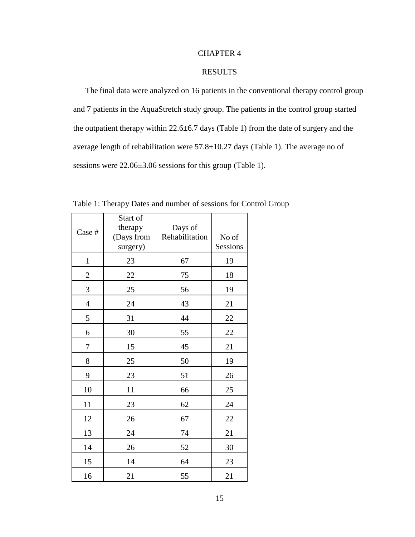#### CHAPTER 4

#### RESULTS

The final data were analyzed on 16 patients in the conventional therapy control group and 7 patients in the AquaStretch study group. The patients in the control group started the outpatient therapy within  $22.6 \pm 6.7$  days (Table 1) from the date of surgery and the average length of rehabilitation were  $57.8 \pm 10.27$  days (Table 1). The average no of sessions were 22.06±3.06 sessions for this group (Table 1).

| Case #         | Start of<br>therapy<br>(Days from<br>surgery) | Days of<br>Rehabilitation | No of<br>Sessions |
|----------------|-----------------------------------------------|---------------------------|-------------------|
| $\mathbf{1}$   | 23                                            | 67                        | 19                |
| $\overline{c}$ | 22                                            | 75                        | 18                |
| 3              | $25\,$                                        | 56                        | 19                |
| $\overline{4}$ | 24                                            | 43                        | 21                |
| 5              | 31                                            | 44                        | 22                |
| 6              | 30                                            | 55                        | 22                |
| 7              | 15                                            | 45                        | 21                |
| 8              | 25                                            | 50                        | 19                |
| 9              | 23                                            | 51                        | 26                |
| 10             | 11                                            | 66                        | 25                |
| 11             | 23                                            | 62                        | 24                |
| 12             | 26                                            | 67                        | $22\,$            |
| 13             | 24                                            | 74                        | 21                |
| 14             | 26                                            | 52                        | 30                |
| 15             | 14                                            | 64                        | 23                |
| 16             | 21                                            | 55                        | 21                |

Table 1: Therapy Dates and number of sessions for Control Group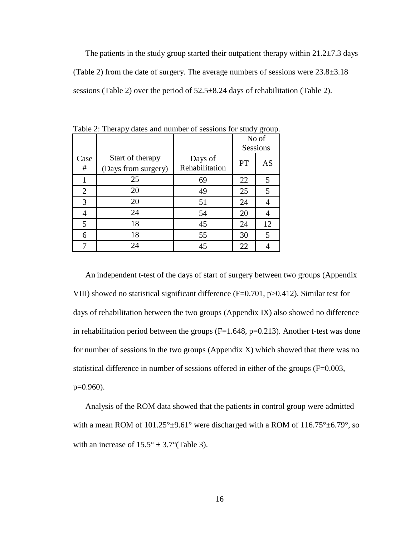The patients in the study group started their outpatient therapy within  $21.2\pm7.3$  days (Table 2) from the date of surgery. The average numbers of sessions were 23.8±3.18 sessions (Table 2) over the period of 52.5±8.24 days of rehabilitation (Table 2).

|                |                                         |                           |           | No of<br>Sessions |
|----------------|-----------------------------------------|---------------------------|-----------|-------------------|
| Case<br>#      | Start of therapy<br>(Days from surgery) | Days of<br>Rehabilitation | <b>PT</b> | AS                |
|                | 25                                      | 69                        | 22        | 5                 |
| $\overline{2}$ | 20                                      | 49                        | 25        | 5                 |
| 3              | 20                                      | 51                        | 24        |                   |
| 4              | 24                                      | 54                        | 20        |                   |
| 5              | 18                                      | 45                        | 24        | 12                |
| 6              | 18                                      | 55                        | 30        | 5                 |
| 7              | 24                                      | 45                        | 22        |                   |

Table 2: Therapy dates and number of sessions for study group.

An independent t-test of the days of start of surgery between two groups (Appendix VIII) showed no statistical significant difference  $(F=0.701, p>0.412)$ . Similar test for days of rehabilitation between the two groups (Appendix IX) also showed no difference in rehabilitation period between the groups  $(F=1.648, p=0.213)$ . Another t-test was done for number of sessions in the two groups (Appendix X) which showed that there was no statistical difference in number of sessions offered in either of the groups (F=0.003, p=0.960).

Analysis of the ROM data showed that the patients in control group were admitted with a mean ROM of  $101.25^{\circ} \pm 9.61^{\circ}$  were discharged with a ROM of  $116.75^{\circ} \pm 6.79^{\circ}$ , so with an increase of  $15.5^{\circ} \pm 3.7^{\circ}$  (Table 3).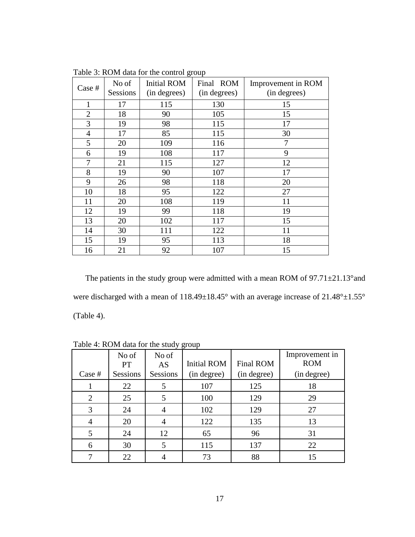| Case #         | No of<br>Sessions | <b>Initial ROM</b><br>(in degrees) | Final ROM<br>(in degrees) | Improvement in ROM<br>(in degrees) |
|----------------|-------------------|------------------------------------|---------------------------|------------------------------------|
|                | 17                | 115                                | 130                       | 15                                 |
| $\overline{2}$ | 18                | 90                                 | 105                       | 15                                 |
| 3              | 19                | 98                                 | 115                       | 17                                 |
| $\overline{4}$ | 17                | 85                                 | 115                       | 30                                 |
| 5              | 20                | 109                                | 116                       | 7                                  |
| 6              | 19                | 108                                | 117                       | 9                                  |
| 7              | 21                | 115                                | 127                       | 12                                 |
| 8              | 19                | 90                                 | 107                       | 17                                 |
| 9              | 26                | 98                                 | 118                       | 20                                 |
| 10             | 18                | 95                                 | 122                       | 27                                 |
| 11             | 20                | 108                                | 119                       | 11                                 |
| 12             | 19                | 99                                 | 118                       | 19                                 |
| 13             | 20                | 102                                | 117                       | 15                                 |
| 14             | 30                | 111                                | 122                       | 11                                 |
| 15             | 19                | 95                                 | 113                       | 18                                 |
| 16             | 21                | 92                                 | 107                       | 15                                 |

Table 3: ROM data for the control group

The patients in the study group were admitted with a mean ROM of 97.71±21.13°and were discharged with a mean of 118.49±18.45° with an average increase of 21.48°±1.55° (Table 4).

|                |                 | Lavie 4. Noive data for the study group |                    |                  |                              |
|----------------|-----------------|-----------------------------------------|--------------------|------------------|------------------------------|
|                | No of<br>PT     | No of<br>AS                             | <b>Initial ROM</b> | <b>Final ROM</b> | Improvement in<br><b>ROM</b> |
| Case #         | <b>Sessions</b> | Sessions                                | (in degree)        | (in degree)      | (in degree)                  |
|                | 22              | 5                                       | 107                | 125              | 18                           |
| $\overline{2}$ | 25              | 5                                       | 100                | 129              | 29                           |
| 3              | 24              |                                         | 102                | 129              | 27                           |
| 4              | 20              |                                         | 122                | 135              | 13                           |
| 5              | 24              | 12                                      | 65                 | 96               | 31                           |
| 6              | 30              |                                         | 115                | 137              | 22                           |
|                | 22              |                                         | 73                 | 88               | 15                           |

Table  $4: ROM$  data for the study group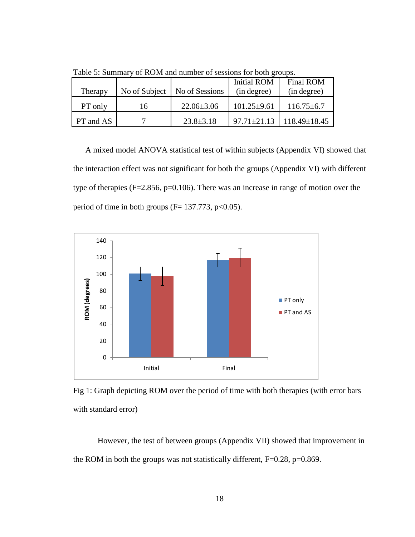| Therapy   | No of Subject | No of Sessions   | <b>Initial ROM</b><br>(in degree) | <b>Final ROM</b><br>(in degree) |
|-----------|---------------|------------------|-----------------------------------|---------------------------------|
| PT only   | 16            | $22.06 \pm 3.06$ | $101.25 \pm 9.61$                 | $116.75 \pm 6.7$                |
| PT and AS |               | $23.8 \pm 3.18$  | $97.71 \pm 21.13$                 | $118.49 \pm 18.45$              |

Table 5: Summary of ROM and number of sessions for both groups.

A mixed model ANOVA statistical test of within subjects (Appendix VI) showed that the interaction effect was not significant for both the groups (Appendix VI) with different type of therapies (F=2.856, p=0.106). There was an increase in range of motion over the period of time in both groups ( $F= 137.773$ , p<0.05).



Fig 1: Graph depicting ROM over the period of time with both therapies (with error bars with standard error)

However, the test of between groups (Appendix VII) showed that improvement in the ROM in both the groups was not statistically different, F=0.28, p=0.869.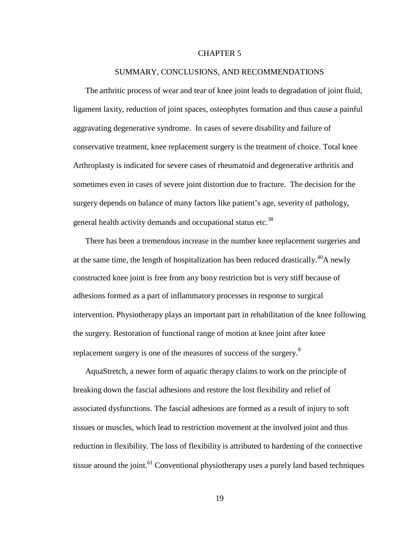#### CHAPTER 5

#### SUMMARY, CONCLUSIONS, AND RECOMMENDATIONS

The arthritic process of wear and tear of knee joint leads to degradation of joint fluid, ligament laxity, reduction of joint spaces, osteophytes formation and thus cause a painful aggravating degenerative syndrome. In cases of severe disability and failure of conservative treatment, knee replacement surgery is the treatment of choice. Total knee Arthroplasty is indicated for severe cases of rheumatoid and degenerative arthritis and sometimes even in cases of severe joint distortion due to fracture. The decision for the surgery depends on balance of many factors like patient's age, severity of pathology, general health activity demands and occupational status etc.<sup>38</sup>

There has been a tremendous increase in the number knee replacement surgeries and at the same time, the length of hospitalization has been reduced drastically.<sup>40</sup>A newly constructed knee joint is free from any bony restriction but is very stiff because of adhesions formed as a part of inflammatory processes in response to surgical intervention. Physiotherapy plays an important part in rehabilitation of the knee following the surgery. Restoration of functional range of motion at knee joint after knee replacement surgery is one of the measures of success of the surgery.<sup>8</sup>

AquaStretch, a newer form of aquatic therapy claims to work on the principle of breaking down the fascial adhesions and restore the lost flexibility and relief of associated dysfunctions. The fascial adhesions are formed as a result of injury to soft tissues or muscles, which lead to restriction movement at the involved joint and thus reduction in flexibility. The loss of flexibility is attributed to hardening of the connective tissue around the joint.<sup>61</sup> Conventional physiotherapy uses a purely land based techniques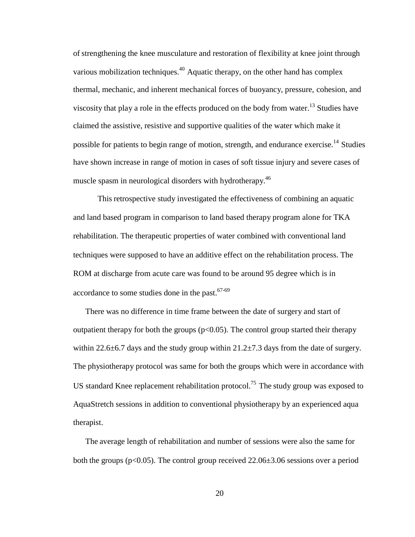of strengthening the knee musculature and restoration of flexibility at knee joint through various mobilization techniques. $40$  Aquatic therapy, on the other hand has complex thermal, mechanic, and inherent mechanical forces of buoyancy, pressure, cohesion, and viscosity that play a role in the effects produced on the body from water.<sup>13</sup> Studies have claimed the assistive, resistive and supportive qualities of the water which make it possible for patients to begin range of motion, strength, and endurance exercise.<sup>14</sup> Studies have shown increase in range of motion in cases of soft tissue injury and severe cases of muscle spasm in neurological disorders with hydrotherapy.<sup>46</sup>

This retrospective study investigated the effectiveness of combining an aquatic and land based program in comparison to land based therapy program alone for TKA rehabilitation. The therapeutic properties of water combined with conventional land techniques were supposed to have an additive effect on the rehabilitation process. The ROM at discharge from acute care was found to be around 95 degree which is in accordance to some studies done in the past.<sup>67-69</sup>

There was no difference in time frame between the date of surgery and start of outpatient therapy for both the groups  $(p<0.05)$ . The control group started their therapy within 22.6 $\pm$ 6.7 days and the study group within 21.2 $\pm$ 7.3 days from the date of surgery. The physiotherapy protocol was same for both the groups which were in accordance with US standard Knee replacement rehabilitation protocol.<sup>75</sup> The study group was exposed to AquaStretch sessions in addition to conventional physiotherapy by an experienced aqua therapist.

The average length of rehabilitation and number of sessions were also the same for both the groups ( $p<0.05$ ). The control group received 22.06 $\pm$ 3.06 sessions over a period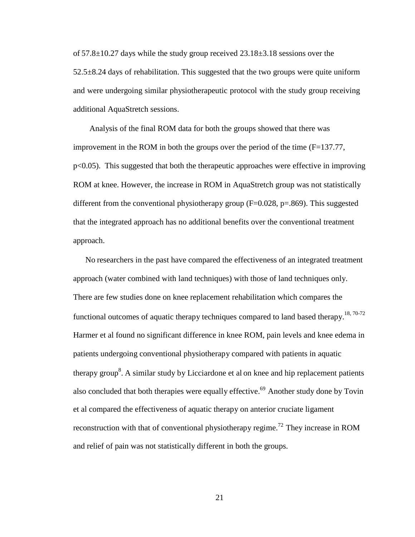of  $57.8 \pm 10.27$  days while the study group received  $23.18 \pm 3.18$  sessions over the  $52.5\pm8.24$  days of rehabilitation. This suggested that the two groups were quite uniform and were undergoing similar physiotherapeutic protocol with the study group receiving additional AquaStretch sessions.

Analysis of the final ROM data for both the groups showed that there was improvement in the ROM in both the groups over the period of the time  $(F=137.77,$ p<0.05). This suggested that both the therapeutic approaches were effective in improving ROM at knee. However, the increase in ROM in AquaStretch group was not statistically different from the conventional physiotherapy group  $(F=0.028, p=.869)$ . This suggested that the integrated approach has no additional benefits over the conventional treatment approach.

No researchers in the past have compared the effectiveness of an integrated treatment approach (water combined with land techniques) with those of land techniques only. There are few studies done on knee replacement rehabilitation which compares the functional outcomes of aquatic therapy techniques compared to land based therapy.<sup>18, 70-72</sup> Harmer et al found no significant difference in knee ROM, pain levels and knee edema in patients undergoing conventional physiotherapy compared with patients in aquatic therapy group<sup>8</sup>. A similar study by Licciardone et al on knee and hip replacement patients also concluded that both therapies were equally effective.<sup>69</sup> Another study done by Tovin et al compared the effectiveness of aquatic therapy on anterior cruciate ligament reconstruction with that of conventional physiotherapy regime.<sup>72</sup> They increase in ROM and relief of pain was not statistically different in both the groups.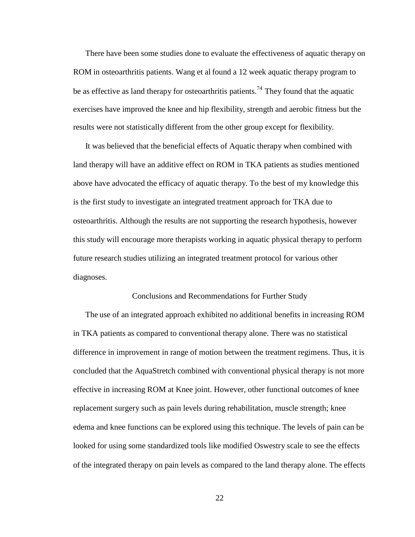There have been some studies done to evaluate the effectiveness of aquatic therapy on ROM in osteoarthritis patients. Wang et al found a 12 week aquatic therapy program to be as effective as land therapy for osteoarthritis patients.<sup>74</sup> They found that the aquatic exercises have improved the knee and hip flexibility, strength and aerobic fitness but the results were not statistically different from the other group except for flexibility.

It was believed that the beneficial effects of Aquatic therapy when combined with land therapy will have an additive effect on ROM in TKA patients as studies mentioned above have advocated the efficacy of aquatic therapy. To the best of my knowledge this is the first study to investigate an integrated treatment approach for TKA due to osteoarthritis. Although the results are not supporting the research hypothesis, however this study will encourage more therapists working in aquatic physical therapy to perform future research studies utilizing an integrated treatment protocol for various other diagnoses.

#### Conclusions and Recommendations for Further Study

The use of an integrated approach exhibited no additional benefits in increasing ROM in TKA patients as compared to conventional therapy alone. There was no statistical difference in improvement in range of motion between the treatment regimens. Thus, it is concluded that the AquaStretch combined with conventional physical therapy is not more effective in increasing ROM at Knee joint. However, other functional outcomes of knee replacement surgery such as pain levels during rehabilitation, muscle strength; knee edema and knee functions can be explored using this technique. The levels of pain can be looked for using some standardized tools like modified Oswestry scale to see the effects of the integrated therapy on pain levels as compared to the land therapy alone. The effects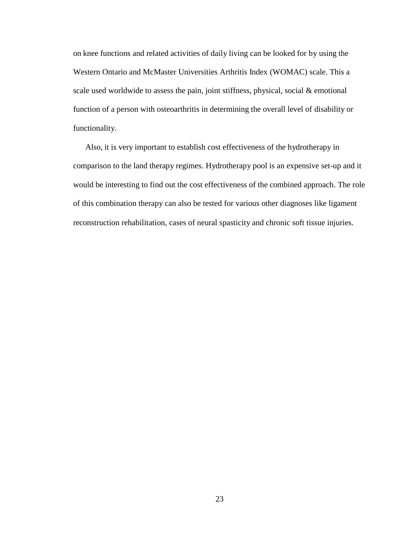on knee functions and related activities of daily living can be looked for by using the Western Ontario and McMaster Universities Arthritis Index (WOMAC) scale. This a scale used worldwide to assess the pain, joint stiffness, physical, social & emotional function of a person with osteoarthritis in determining the overall level of disability or functionality.

Also, it is very important to establish cost effectiveness of the hydrotherapy in comparison to the land therapy regimes. Hydrotherapy pool is an expensive set-up and it would be interesting to find out the cost effectiveness of the combined approach. The role of this combination therapy can also be tested for various other diagnoses like ligament reconstruction rehabilitation, cases of neural spasticity and chronic soft tissue injuries.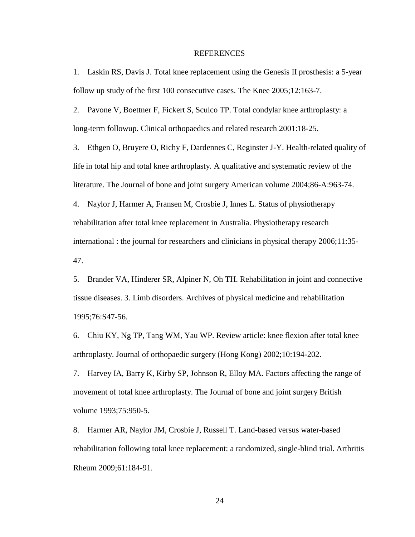#### REFERENCES

1. Laskin RS, Davis J. Total knee replacement using the Genesis II prosthesis: a 5-year follow up study of the first 100 consecutive cases. The Knee 2005;12:163-7.

2. Pavone V, Boettner F, Fickert S, Sculco TP. Total condylar knee arthroplasty: a long-term followup. Clinical orthopaedics and related research 2001:18-25.

3. Ethgen O, Bruyere O, Richy F, Dardennes C, Reginster J-Y. Health-related quality of life in total hip and total knee arthroplasty. A qualitative and systematic review of the literature. The Journal of bone and joint surgery American volume 2004;86-A:963-74.

4. Naylor J, Harmer A, Fransen M, Crosbie J, Innes L. Status of physiotherapy rehabilitation after total knee replacement in Australia. Physiotherapy research international : the journal for researchers and clinicians in physical therapy 2006;11:35- 47.

5. Brander VA, Hinderer SR, Alpiner N, Oh TH. Rehabilitation in joint and connective tissue diseases. 3. Limb disorders. Archives of physical medicine and rehabilitation 1995;76:S47-56.

6. Chiu KY, Ng TP, Tang WM, Yau WP. Review article: knee flexion after total knee arthroplasty. Journal of orthopaedic surgery (Hong Kong) 2002;10:194-202.

7. Harvey IA, Barry K, Kirby SP, Johnson R, Elloy MA. Factors affecting the range of movement of total knee arthroplasty. The Journal of bone and joint surgery British volume 1993;75:950-5.

8. Harmer AR, Naylor JM, Crosbie J, Russell T. Land-based versus water-based rehabilitation following total knee replacement: a randomized, single-blind trial. Arthritis Rheum 2009;61:184-91.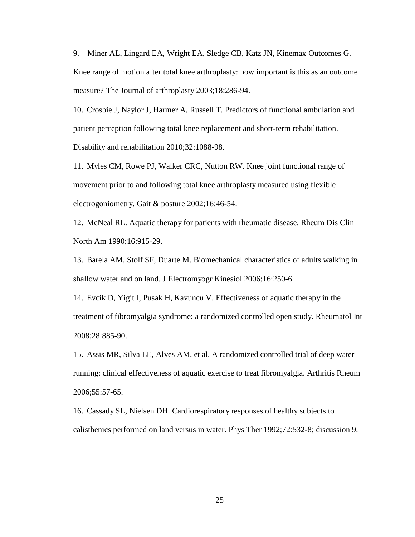9. Miner AL, Lingard EA, Wright EA, Sledge CB, Katz JN, Kinemax Outcomes G. Knee range of motion after total knee arthroplasty: how important is this as an outcome measure? The Journal of arthroplasty 2003;18:286-94.

10. Crosbie J, Naylor J, Harmer A, Russell T. Predictors of functional ambulation and patient perception following total knee replacement and short-term rehabilitation. Disability and rehabilitation 2010;32:1088-98.

11. Myles CM, Rowe PJ, Walker CRC, Nutton RW. Knee joint functional range of movement prior to and following total knee arthroplasty measured using flexible electrogoniometry. Gait & posture 2002;16:46-54.

12. McNeal RL. Aquatic therapy for patients with rheumatic disease. Rheum Dis Clin North Am 1990;16:915-29.

13. Barela AM, Stolf SF, Duarte M. Biomechanical characteristics of adults walking in shallow water and on land. J Electromyogr Kinesiol 2006;16:250-6.

14. Evcik D, Yigit I, Pusak H, Kavuncu V. Effectiveness of aquatic therapy in the treatment of fibromyalgia syndrome: a randomized controlled open study. Rheumatol Int 2008;28:885-90.

15. Assis MR, Silva LE, Alves AM, et al. A randomized controlled trial of deep water running: clinical effectiveness of aquatic exercise to treat fibromyalgia. Arthritis Rheum 2006;55:57-65.

16. Cassady SL, Nielsen DH. Cardiorespiratory responses of healthy subjects to calisthenics performed on land versus in water. Phys Ther 1992;72:532-8; discussion 9.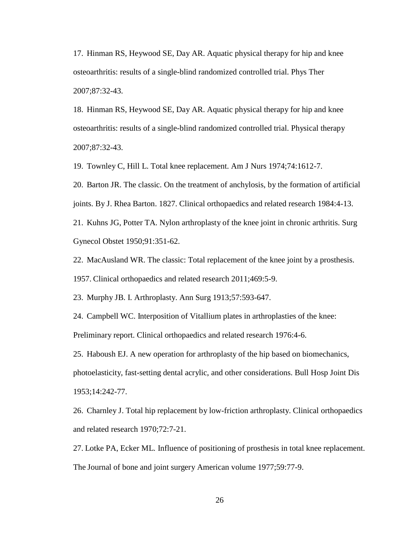17. Hinman RS, Heywood SE, Day AR. Aquatic physical therapy for hip and knee osteoarthritis: results of a single-blind randomized controlled trial. Phys Ther 2007;87:32-43.

18. Hinman RS, Heywood SE, Day AR. Aquatic physical therapy for hip and knee osteoarthritis: results of a single-blind randomized controlled trial. Physical therapy 2007;87:32-43.

19. Townley C, Hill L. Total knee replacement. Am J Nurs 1974;74:1612-7.

20. Barton JR. The classic. On the treatment of anchylosis, by the formation of artificial joints. By J. Rhea Barton. 1827. Clinical orthopaedics and related research 1984:4-13.

21. Kuhns JG, Potter TA. Nylon arthroplasty of the knee joint in chronic arthritis. Surg Gynecol Obstet 1950;91:351-62.

22. MacAusland WR. The classic: Total replacement of the knee joint by a prosthesis.

1957. Clinical orthopaedics and related research 2011;469:5-9.

23. Murphy JB. I. Arthroplasty. Ann Surg 1913;57:593-647.

24. Campbell WC. Interposition of Vitallium plates in arthroplasties of the knee: Preliminary report. Clinical orthopaedics and related research 1976:4-6.

25. Haboush EJ. A new operation for arthroplasty of the hip based on biomechanics, photoelasticity, fast-setting dental acrylic, and other considerations. Bull Hosp Joint Dis 1953;14:242-77.

26. Charnley J. Total hip replacement by low-friction arthroplasty. Clinical orthopaedics and related research 1970;72:7-21.

27. Lotke PA, Ecker ML. Influence of positioning of prosthesis in total knee replacement. The Journal of bone and joint surgery American volume 1977;59:77-9.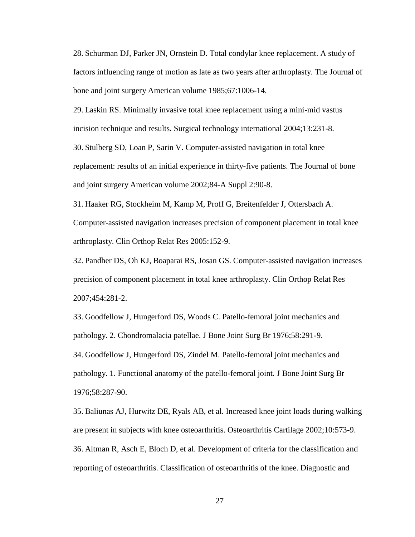28. Schurman DJ, Parker JN, Ornstein D. Total condylar knee replacement. A study of factors influencing range of motion as late as two years after arthroplasty. The Journal of bone and joint surgery American volume 1985;67:1006-14.

29. Laskin RS. Minimally invasive total knee replacement using a mini-mid vastus

incision technique and results. Surgical technology international 2004;13:231-8.

30. Stulberg SD, Loan P, Sarin V. Computer-assisted navigation in total knee replacement: results of an initial experience in thirty-five patients. The Journal of bone and joint surgery American volume 2002;84-A Suppl 2:90-8.

31. Haaker RG, Stockheim M, Kamp M, Proff G, Breitenfelder J, Ottersbach A. Computer-assisted navigation increases precision of component placement in total knee arthroplasty. Clin Orthop Relat Res 2005:152-9.

32. Pandher DS, Oh KJ, Boaparai RS, Josan GS. Computer-assisted navigation increases precision of component placement in total knee arthroplasty. Clin Orthop Relat Res 2007;454:281-2.

33. Goodfellow J, Hungerford DS, Woods C. Patello-femoral joint mechanics and pathology. 2. Chondromalacia patellae. J Bone Joint Surg Br 1976;58:291-9. 34. Goodfellow J, Hungerford DS, Zindel M. Patello-femoral joint mechanics and pathology. 1. Functional anatomy of the patello-femoral joint. J Bone Joint Surg Br 1976;58:287-90.

35. Baliunas AJ, Hurwitz DE, Ryals AB, et al. Increased knee joint loads during walking are present in subjects with knee osteoarthritis. Osteoarthritis Cartilage 2002;10:573-9. 36. Altman R, Asch E, Bloch D, et al. Development of criteria for the classification and reporting of osteoarthritis. Classification of osteoarthritis of the knee. Diagnostic and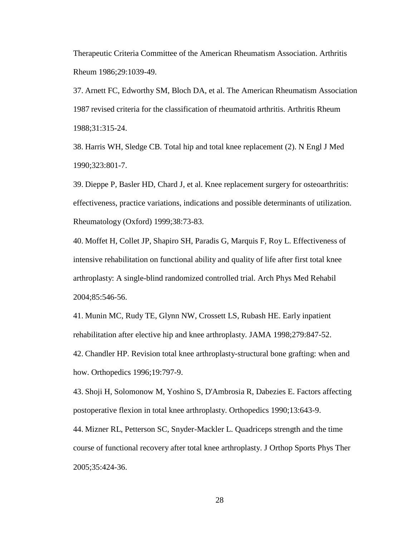Therapeutic Criteria Committee of the American Rheumatism Association. Arthritis Rheum 1986;29:1039-49.

37. Arnett FC, Edworthy SM, Bloch DA, et al. The American Rheumatism Association 1987 revised criteria for the classification of rheumatoid arthritis. Arthritis Rheum 1988;31:315-24.

38. Harris WH, Sledge CB. Total hip and total knee replacement (2). N Engl J Med 1990;323:801-7.

39. Dieppe P, Basler HD, Chard J, et al. Knee replacement surgery for osteoarthritis: effectiveness, practice variations, indications and possible determinants of utilization. Rheumatology (Oxford) 1999;38:73-83.

40. Moffet H, Collet JP, Shapiro SH, Paradis G, Marquis F, Roy L. Effectiveness of intensive rehabilitation on functional ability and quality of life after first total knee arthroplasty: A single-blind randomized controlled trial. Arch Phys Med Rehabil 2004;85:546-56.

41. Munin MC, Rudy TE, Glynn NW, Crossett LS, Rubash HE. Early inpatient rehabilitation after elective hip and knee arthroplasty. JAMA 1998;279:847-52.

42. Chandler HP. Revision total knee arthroplasty-structural bone grafting: when and how. Orthopedics 1996;19:797-9.

43. Shoji H, Solomonow M, Yoshino S, D'Ambrosia R, Dabezies E. Factors affecting postoperative flexion in total knee arthroplasty. Orthopedics 1990;13:643-9.

44. Mizner RL, Petterson SC, Snyder-Mackler L. Quadriceps strength and the time course of functional recovery after total knee arthroplasty. J Orthop Sports Phys Ther 2005;35:424-36.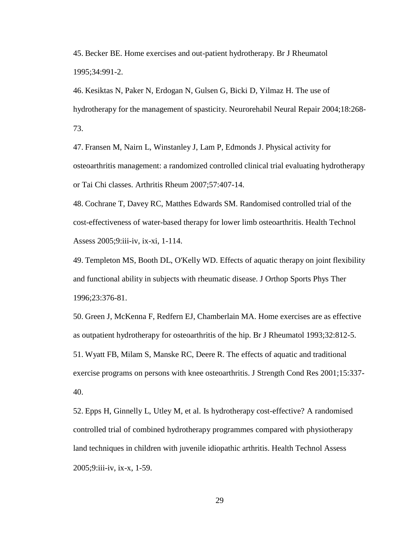45. Becker BE. Home exercises and out-patient hydrotherapy. Br J Rheumatol 1995;34:991-2.

46. Kesiktas N, Paker N, Erdogan N, Gulsen G, Bicki D, Yilmaz H. The use of hydrotherapy for the management of spasticity. Neurorehabil Neural Repair 2004;18:268- 73.

47. Fransen M, Nairn L, Winstanley J, Lam P, Edmonds J. Physical activity for osteoarthritis management: a randomized controlled clinical trial evaluating hydrotherapy or Tai Chi classes. Arthritis Rheum 2007;57:407-14.

48. Cochrane T, Davey RC, Matthes Edwards SM. Randomised controlled trial of the cost-effectiveness of water-based therapy for lower limb osteoarthritis. Health Technol Assess 2005;9:iii-iv, ix-xi, 1-114.

49. Templeton MS, Booth DL, O'Kelly WD. Effects of aquatic therapy on joint flexibility and functional ability in subjects with rheumatic disease. J Orthop Sports Phys Ther 1996;23:376-81.

50. Green J, McKenna F, Redfern EJ, Chamberlain MA. Home exercises are as effective as outpatient hydrotherapy for osteoarthritis of the hip. Br J Rheumatol 1993;32:812-5. 51. Wyatt FB, Milam S, Manske RC, Deere R. The effects of aquatic and traditional exercise programs on persons with knee osteoarthritis. J Strength Cond Res 2001;15:337- 40.

52. Epps H, Ginnelly L, Utley M, et al. Is hydrotherapy cost-effective? A randomised controlled trial of combined hydrotherapy programmes compared with physiotherapy land techniques in children with juvenile idiopathic arthritis. Health Technol Assess 2005;9:iii-iv, ix-x, 1-59.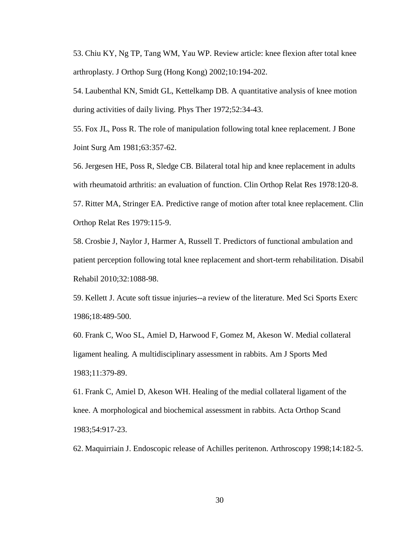53. Chiu KY, Ng TP, Tang WM, Yau WP. Review article: knee flexion after total knee arthroplasty. J Orthop Surg (Hong Kong) 2002;10:194-202.

54. Laubenthal KN, Smidt GL, Kettelkamp DB. A quantitative analysis of knee motion during activities of daily living. Phys Ther 1972;52:34-43.

55. Fox JL, Poss R. The role of manipulation following total knee replacement. J Bone Joint Surg Am 1981;63:357-62.

56. Jergesen HE, Poss R, Sledge CB. Bilateral total hip and knee replacement in adults with rheumatoid arthritis: an evaluation of function. Clin Orthop Relat Res 1978:120-8. 57. Ritter MA, Stringer EA. Predictive range of motion after total knee replacement. Clin

Orthop Relat Res 1979:115-9.

58. Crosbie J, Naylor J, Harmer A, Russell T. Predictors of functional ambulation and patient perception following total knee replacement and short-term rehabilitation. Disabil Rehabil 2010;32:1088-98.

59. Kellett J. Acute soft tissue injuries--a review of the literature. Med Sci Sports Exerc 1986;18:489-500.

60. Frank C, Woo SL, Amiel D, Harwood F, Gomez M, Akeson W. Medial collateral ligament healing. A multidisciplinary assessment in rabbits. Am J Sports Med 1983;11:379-89.

61. Frank C, Amiel D, Akeson WH. Healing of the medial collateral ligament of the knee. A morphological and biochemical assessment in rabbits. Acta Orthop Scand 1983;54:917-23.

62. Maquirriain J. Endoscopic release of Achilles peritenon. Arthroscopy 1998;14:182-5.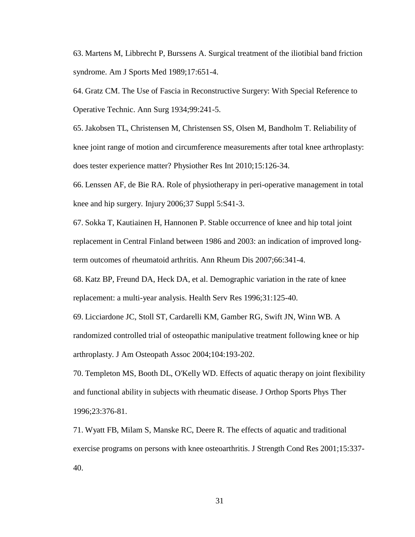63. Martens M, Libbrecht P, Burssens A. Surgical treatment of the iliotibial band friction syndrome. Am J Sports Med 1989;17:651-4.

64. Gratz CM. The Use of Fascia in Reconstructive Surgery: With Special Reference to Operative Technic. Ann Surg 1934;99:241-5.

65. Jakobsen TL, Christensen M, Christensen SS, Olsen M, Bandholm T. Reliability of knee joint range of motion and circumference measurements after total knee arthroplasty: does tester experience matter? Physiother Res Int 2010;15:126-34.

66. Lenssen AF, de Bie RA. Role of physiotherapy in peri-operative management in total knee and hip surgery. Injury 2006;37 Suppl 5:S41-3.

67. Sokka T, Kautiainen H, Hannonen P. Stable occurrence of knee and hip total joint replacement in Central Finland between 1986 and 2003: an indication of improved longterm outcomes of rheumatoid arthritis. Ann Rheum Dis 2007;66:341-4.

68. Katz BP, Freund DA, Heck DA, et al. Demographic variation in the rate of knee replacement: a multi-year analysis. Health Serv Res 1996;31:125-40.

69. Licciardone JC, Stoll ST, Cardarelli KM, Gamber RG, Swift JN, Winn WB. A randomized controlled trial of osteopathic manipulative treatment following knee or hip arthroplasty. J Am Osteopath Assoc 2004;104:193-202.

70. Templeton MS, Booth DL, O'Kelly WD. Effects of aquatic therapy on joint flexibility and functional ability in subjects with rheumatic disease. J Orthop Sports Phys Ther 1996;23:376-81.

71. Wyatt FB, Milam S, Manske RC, Deere R. The effects of aquatic and traditional exercise programs on persons with knee osteoarthritis. J Strength Cond Res 2001;15:337- 40.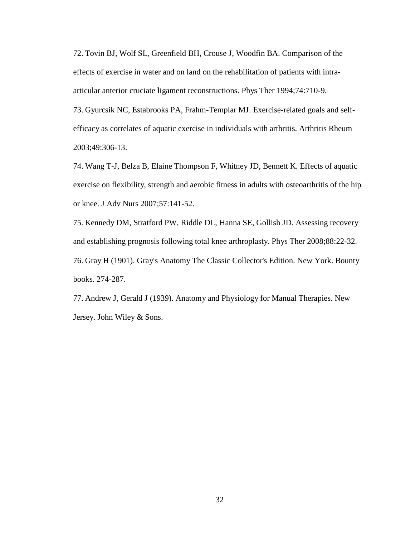72. Tovin BJ, Wolf SL, Greenfield BH, Crouse J, Woodfin BA. Comparison of the effects of exercise in water and on land on the rehabilitation of patients with intraarticular anterior cruciate ligament reconstructions. Phys Ther 1994;74:710-9.

73. Gyurcsik NC, Estabrooks PA, Frahm-Templar MJ. Exercise-related goals and selfefficacy as correlates of aquatic exercise in individuals with arthritis. Arthritis Rheum 2003;49:306-13.

74. Wang T-J, Belza B, Elaine Thompson F, Whitney JD, Bennett K. Effects of aquatic exercise on flexibility, strength and aerobic fitness in adults with osteoarthritis of the hip or knee. J Adv Nurs 2007;57:141-52.

75. Kennedy DM, Stratford PW, Riddle DL, Hanna SE, Gollish JD. Assessing recovery and establishing prognosis following total knee arthroplasty. Phys Ther 2008;88:22-32. 76. Gray H (1901). Gray's Anatomy The Classic Collector's Edition. New York. Bounty books. 274-287.

77. Andrew J, Gerald J (1939). Anatomy and Physiology for Manual Therapies. New Jersey. John Wiley & Sons.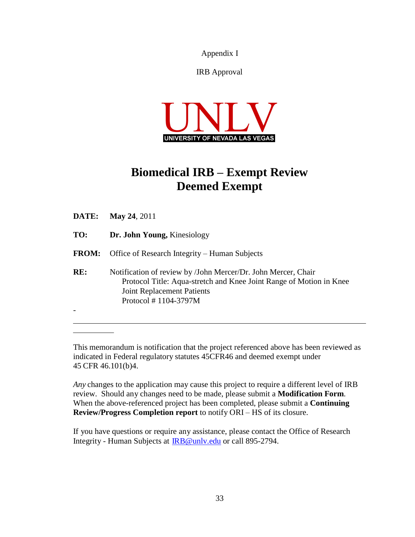Appendix Ι

IRB Approval



# **Biomedical IRB – Exempt Review Deemed Exempt**

| DATE:        | <b>May 24, 2011</b>                                                                                                                                                                                  |
|--------------|------------------------------------------------------------------------------------------------------------------------------------------------------------------------------------------------------|
| TO:          | Dr. John Young, Kinesiology                                                                                                                                                                          |
| <b>FROM:</b> | Office of Research Integrity – Human Subjects                                                                                                                                                        |
| RE:          | Notification of review by /John Mercer/Dr. John Mercer, Chair<br>Protocol Title: Aqua-stretch and Knee Joint Range of Motion in Knee<br><b>Joint Replacement Patients</b><br>Protocol $# 1104-3797M$ |

This memorandum is notification that the project referenced above has been reviewed as indicated in Federal regulatory statutes 45CFR46 and deemed exempt under 45 CFR 46.101(b)4.

*Any* changes to the application may cause this project to require a different level of IRB review. Should any changes need to be made, please submit a **Modification Form**. When the above-referenced project has been completed, please submit a **Continuing Review/Progress Completion report** to notify ORI – HS of its closure.

If you have questions or require any assistance, please contact the Office of Research Integrity - Human Subjects at [IRB@unlv.edu](mailto:IRB@unlv.edu) or call 895-2794.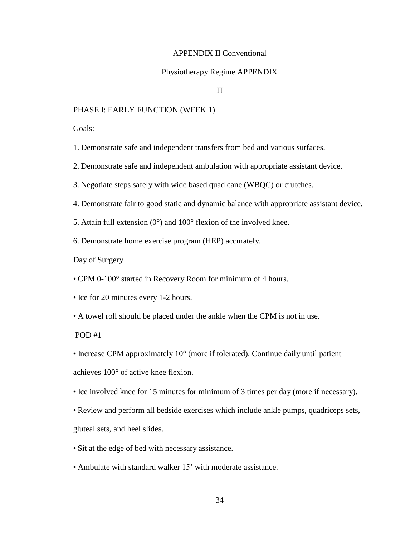#### APPENDIX II Conventional

#### Physiotherapy Regime APPENDIX

#### П

#### PHASE I: EARLY FUNCTION (WEEK 1)

Goals:

1. Demonstrate safe and independent transfers from bed and various surfaces.

2. Demonstrate safe and independent ambulation with appropriate assistant device.

- 3. Negotiate steps safely with wide based quad cane (WBQC) or crutches.
- 4. Demonstrate fair to good static and dynamic balance with appropriate assistant device.
- 5. Attain full extension  $(0^{\circ})$  and  $100^{\circ}$  flexion of the involved knee.
- 6. Demonstrate home exercise program (HEP) accurately.

Day of Surgery

• CPM 0-100° started in Recovery Room for minimum of 4 hours.

- Ice for 20 minutes every 1-2 hours.
- A towel roll should be placed under the ankle when the CPM is not in use.

POD #1

• Increase CPM approximately 10° (more if tolerated). Continue daily until patient achieves 100° of active knee flexion.

- Ice involved knee for 15 minutes for minimum of 3 times per day (more if necessary).
- Review and perform all bedside exercises which include ankle pumps, quadriceps sets, gluteal sets, and heel slides.
- Sit at the edge of bed with necessary assistance.
- Ambulate with standard walker 15' with moderate assistance.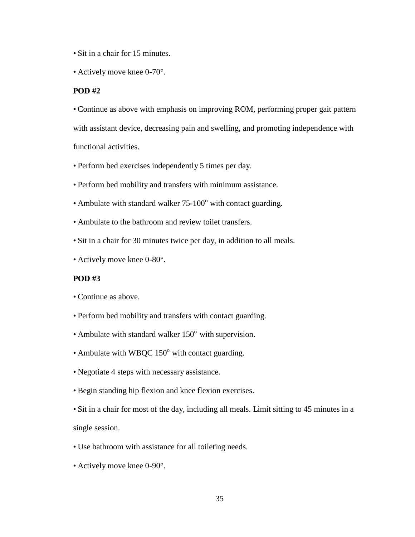- Sit in a chair for 15 minutes.
- Actively move knee 0-70°.

#### **POD #2**

• Continue as above with emphasis on improving ROM, performing proper gait pattern with assistant device, decreasing pain and swelling, and promoting independence with functional activities.

- Perform bed exercises independently 5 times per day.
- Perform bed mobility and transfers with minimum assistance.
- Ambulate with standard walker 75-100° with contact guarding.
- Ambulate to the bathroom and review toilet transfers.
- Sit in a chair for 30 minutes twice per day, in addition to all meals.
- Actively move knee 0-80°.

#### **POD #3**

- Continue as above.
- Perform bed mobility and transfers with contact guarding.
- Ambulate with standard walker  $150^{\circ}$  with supervision.
- Ambulate with WBQC  $150^\circ$  with contact guarding.
- Negotiate 4 steps with necessary assistance.
- Begin standing hip flexion and knee flexion exercises.
- Sit in a chair for most of the day, including all meals. Limit sitting to 45 minutes in a single session.
- Use bathroom with assistance for all toileting needs.
- Actively move knee 0-90°.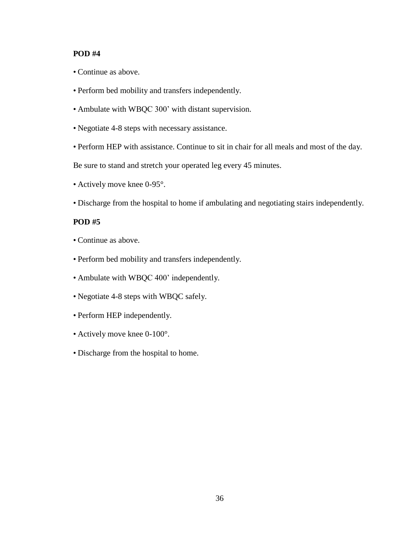#### **POD #4**

- Continue as above.
- Perform bed mobility and transfers independently.
- Ambulate with WBQC 300' with distant supervision.
- Negotiate 4-8 steps with necessary assistance.
- Perform HEP with assistance. Continue to sit in chair for all meals and most of the day.

Be sure to stand and stretch your operated leg every 45 minutes.

- Actively move knee 0-95°.
- Discharge from the hospital to home if ambulating and negotiating stairs independently.

#### **POD #5**

- Continue as above.
- Perform bed mobility and transfers independently.
- Ambulate with WBQC 400' independently.
- Negotiate 4-8 steps with WBQC safely.
- Perform HEP independently.
- Actively move knee 0-100°.
- Discharge from the hospital to home.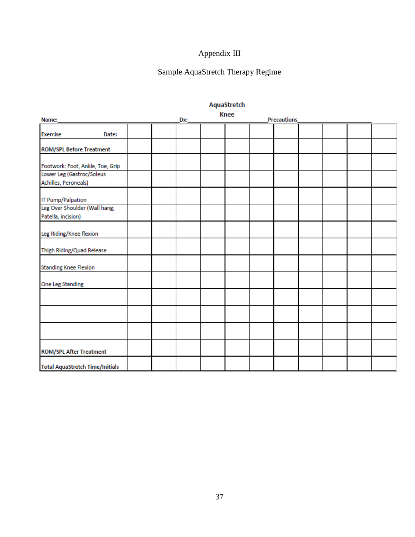# Appendix III

# Sample AquaStretch Therapy Regime

| Name:                                  |       |  | Dx: | <b>Knee</b> | <b>Precautions</b> |  |  |
|----------------------------------------|-------|--|-----|-------------|--------------------|--|--|
|                                        |       |  |     |             |                    |  |  |
| <b>Exercise</b>                        | Date: |  |     |             |                    |  |  |
| <b>ROM/SPL Before Treatment</b>        |       |  |     |             |                    |  |  |
|                                        |       |  |     |             |                    |  |  |
| Footwork: Foot, Ankle, Toe, Grip       |       |  |     |             |                    |  |  |
| Lower Leg (Gastroc/Soleus              |       |  |     |             |                    |  |  |
| Achilles, Peroneals)                   |       |  |     |             |                    |  |  |
| IT Pump/Palpation                      |       |  |     |             |                    |  |  |
| Leg Over Shoulder (Wall hang;          |       |  |     |             |                    |  |  |
| Patella, incision)                     |       |  |     |             |                    |  |  |
|                                        |       |  |     |             |                    |  |  |
| Leg Riding/Knee flexion                |       |  |     |             |                    |  |  |
| Thigh Riding/Quad Release              |       |  |     |             |                    |  |  |
|                                        |       |  |     |             |                    |  |  |
| <b>Standing Knee Flexion</b>           |       |  |     |             |                    |  |  |
| One Leg Standing                       |       |  |     |             |                    |  |  |
|                                        |       |  |     |             |                    |  |  |
|                                        |       |  |     |             |                    |  |  |
|                                        |       |  |     |             |                    |  |  |
|                                        |       |  |     |             |                    |  |  |
|                                        |       |  |     |             |                    |  |  |
| <b>ROM/SPL After Treatment</b>         |       |  |     |             |                    |  |  |
| <b>Total AquaStretch Time/Initials</b> |       |  |     |             |                    |  |  |

## AquaStretch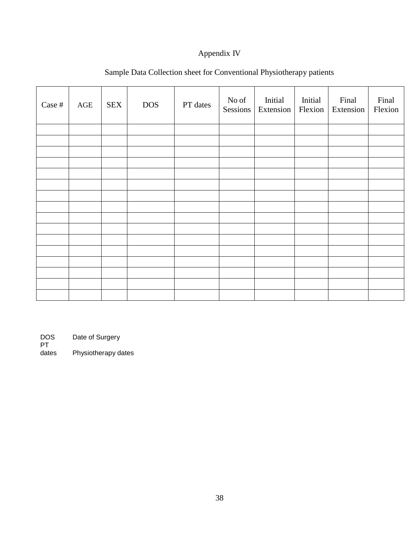## Appendix IV

| Case # | AGE | <b>SEX</b> | <b>DOS</b> | PT dates | No of<br>Sessions | Initial<br>Extension | Initial<br>Flexion | Final<br>Extension | Final<br>Flexion |
|--------|-----|------------|------------|----------|-------------------|----------------------|--------------------|--------------------|------------------|
|        |     |            |            |          |                   |                      |                    |                    |                  |
|        |     |            |            |          |                   |                      |                    |                    |                  |
|        |     |            |            |          |                   |                      |                    |                    |                  |
|        |     |            |            |          |                   |                      |                    |                    |                  |
|        |     |            |            |          |                   |                      |                    |                    |                  |
|        |     |            |            |          |                   |                      |                    |                    |                  |
|        |     |            |            |          |                   |                      |                    |                    |                  |
|        |     |            |            |          |                   |                      |                    |                    |                  |
|        |     |            |            |          |                   |                      |                    |                    |                  |
|        |     |            |            |          |                   |                      |                    |                    |                  |
|        |     |            |            |          |                   |                      |                    |                    |                  |
|        |     |            |            |          |                   |                      |                    |                    |                  |
|        |     |            |            |          |                   |                      |                    |                    |                  |
|        |     |            |            |          |                   |                      |                    |                    |                  |
|        |     |            |            |          |                   |                      |                    |                    |                  |
|        |     |            |            |          |                   |                      |                    |                    |                  |

## Sample Data Collection sheet for Conventional Physiotherapy patients

Date of Surgery

DOS<br>PT<br>dates Physiotherapy dates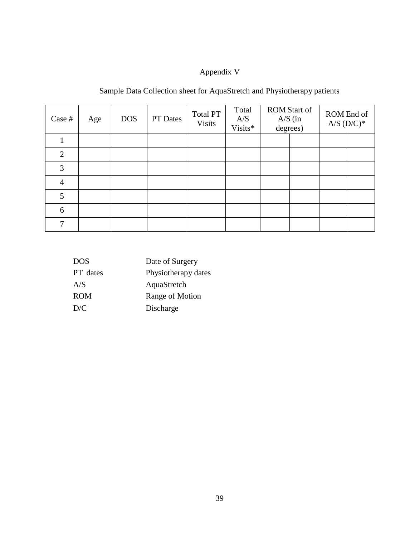# Appendix V

# Sample Data Collection sheet for AquaStretch and Physiotherapy patients

| Case #         | Age | <b>DOS</b> | PT Dates | <b>Total PT</b><br><b>Visits</b> | Total<br>A/S<br>Visits* | $A/S$ (in degrees) | <b>ROM Start of</b> | ROM End of<br>$A/S$ $(D/C)*$ |  |
|----------------|-----|------------|----------|----------------------------------|-------------------------|--------------------|---------------------|------------------------------|--|
|                |     |            |          |                                  |                         |                    |                     |                              |  |
| 2              |     |            |          |                                  |                         |                    |                     |                              |  |
| 3              |     |            |          |                                  |                         |                    |                     |                              |  |
| $\overline{4}$ |     |            |          |                                  |                         |                    |                     |                              |  |
| 5              |     |            |          |                                  |                         |                    |                     |                              |  |
| 6              |     |            |          |                                  |                         |                    |                     |                              |  |
| 7              |     |            |          |                                  |                         |                    |                     |                              |  |

| <b>DOS</b> | Date of Surgery     |
|------------|---------------------|
| PT dates   | Physiotherapy dates |
| A/S        | AquaStretch         |
| <b>ROM</b> | Range of Motion     |
| D/C        | Discharge           |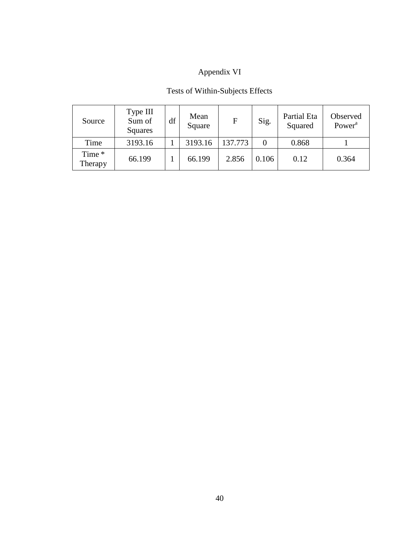# Appendix VI

## Tests of Within-Subjects Effects

| Source            | Type III<br>Sum of<br>Squares | df | Mean<br>Square | $\mathbf F$ | Sig.     | Partial Eta<br>Squared | Observed<br>Power <sup>a</sup> |
|-------------------|-------------------------------|----|----------------|-------------|----------|------------------------|--------------------------------|
| Time              | 3193.16                       |    | 3193.16        | 137.773     | $\Omega$ | 0.868                  |                                |
| Time *<br>Therapy | 66.199                        |    | 66.199         | 2.856       | 0.106    | 0.12                   | 0.364                          |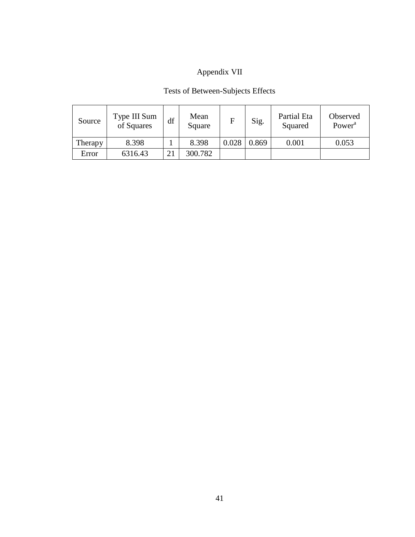# Appendix VII

# Tests of Between-Subjects Effects

| Source  | Type III Sum<br>of Squares | df | Mean<br>Square | F     | Sig.  | Partial Eta<br>Squared | Observed<br>Power <sup>a</sup> |
|---------|----------------------------|----|----------------|-------|-------|------------------------|--------------------------------|
| Therapy | 8.398                      |    | 8.398          | 0.028 | 0.869 | 0.001                  | 0.053                          |
| Error   | 6316.43                    | 21 | 300.782        |       |       |                        |                                |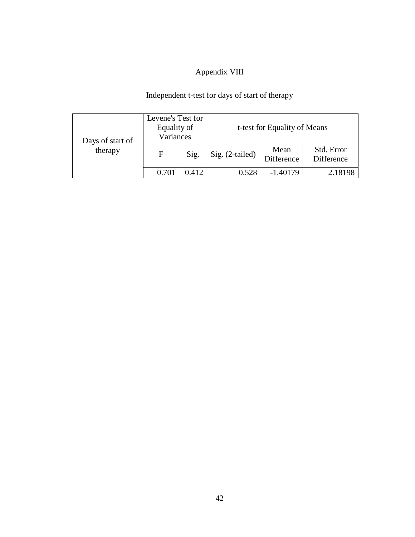# Appendix VIII

# Independent t-test for days of start of therapy

|                             | Levene's Test for<br>Equality of<br>Variances |       | t-test for Equality of Means |                    |                          |  |  |
|-----------------------------|-----------------------------------------------|-------|------------------------------|--------------------|--------------------------|--|--|
| Days of start of<br>therapy | F                                             | Sig.  | Sig. (2-tailed)              | Mean<br>Difference | Std. Error<br>Difference |  |  |
|                             | $0.70^{\circ}$                                | 0.412 | 0.528                        | $-1.40179$         | 2.18198                  |  |  |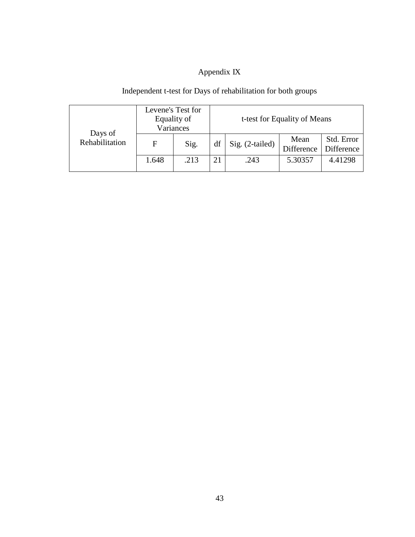# Appendix IX

## Independent t-test for Days of rehabilitation for both groups

|                           | Levene's Test for<br>Equality of<br>Variances |      |    | t-test for Equality of Means |                    |                          |  |  |  |
|---------------------------|-----------------------------------------------|------|----|------------------------------|--------------------|--------------------------|--|--|--|
| Days of<br>Rehabilitation | F                                             | Sig. | df | Sig. (2-tailed)              | Mean<br>Difference | Std. Error<br>Difference |  |  |  |
|                           | 1.648                                         | .213 |    | .243                         | 5.30357            | 4.41298                  |  |  |  |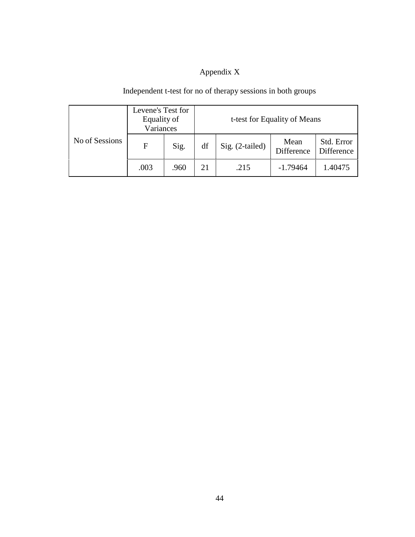# Appendix X

# Independent t-test for no of therapy sessions in both groups

| No of Sessions | Levene's Test for<br>Equality of<br>Variances |      | t-test for Equality of Means |                 |                    |                          |  |  |
|----------------|-----------------------------------------------|------|------------------------------|-----------------|--------------------|--------------------------|--|--|
|                | F                                             | Sig. | df                           | Sig. (2-tailed) | Mean<br>Difference | Std. Error<br>Difference |  |  |
|                | .003                                          | .960 | 21                           | .215            | $-1.79464$         | 1.40475                  |  |  |